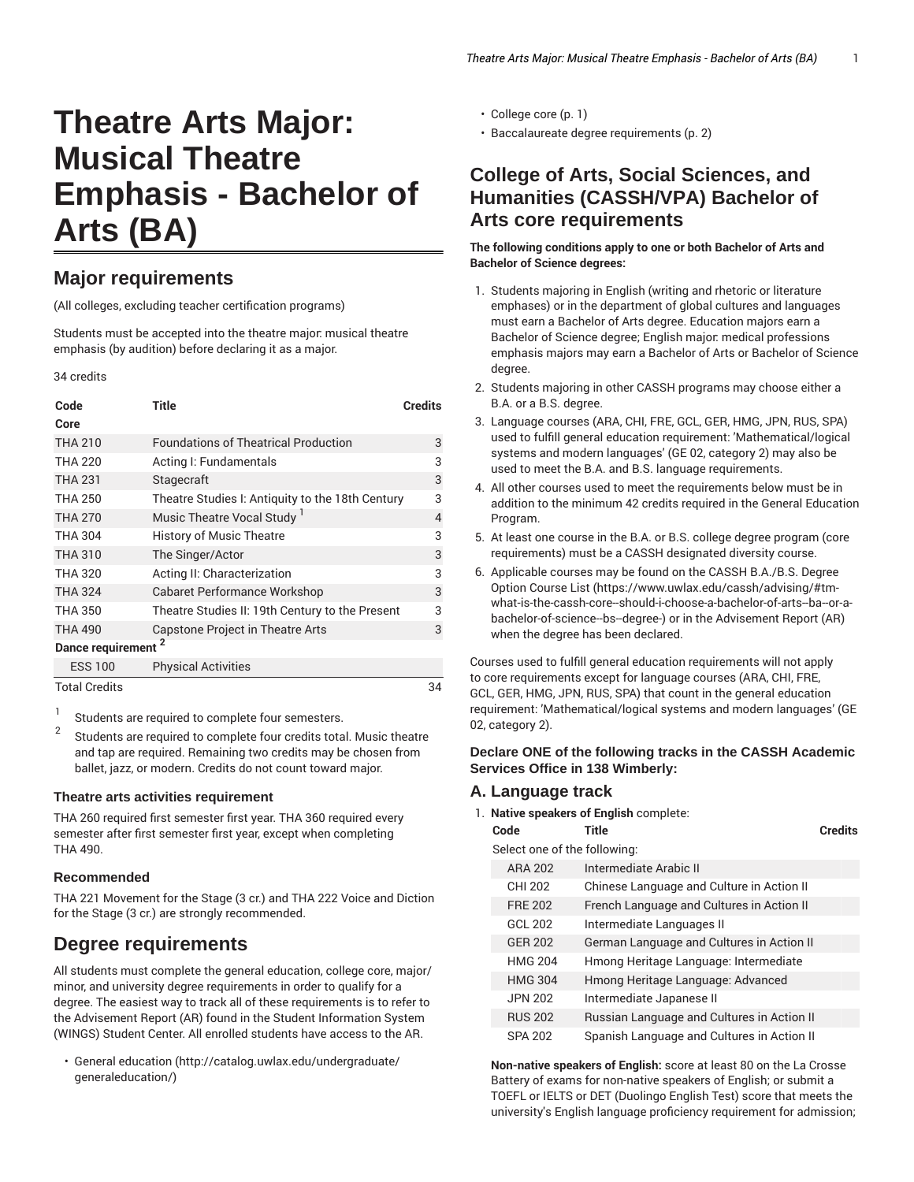# **Theatre Arts Major: Musical Theatre Emphasis - Bachelor of Arts (BA)**

## **Major requirements**

(All colleges, excluding teacher certification programs)

Students must be accepted into the theatre major: musical theatre emphasis (by audition) before declaring it as a major.

#### 34 credits

| Code                     | Title                                            | <b>Credits</b> |
|--------------------------|--------------------------------------------------|----------------|
| Core                     |                                                  |                |
| <b>THA 210</b>           | <b>Foundations of Theatrical Production</b>      | 3              |
| <b>THA 220</b>           | Acting I: Fundamentals                           | 3              |
| <b>THA 231</b>           | Stagecraft                                       | 3              |
| <b>THA 250</b>           | Theatre Studies I: Antiquity to the 18th Century | 3              |
| <b>THA 270</b>           | Music Theatre Vocal Study <sup>1</sup>           | 4              |
| <b>THA 304</b>           | History of Music Theatre                         | 3              |
| <b>THA 310</b>           | The Singer/Actor                                 | 3              |
| <b>THA 320</b>           | Acting II: Characterization                      | 3              |
| <b>THA 324</b>           | <b>Cabaret Performance Workshop</b>              | 3              |
| <b>THA 350</b>           | Theatre Studies II: 19th Century to the Present  | 3              |
| <b>THA 490</b>           | Capstone Project in Theatre Arts                 | 3              |
| <b>Dance requirement</b> | 2                                                |                |
| <b>ESS 100</b>           | <b>Physical Activities</b>                       |                |
| <b>Total Credits</b>     |                                                  | 34             |

1 Students are required to complete four semesters.

 $\overline{2}$ Students are required to complete four credits total. Music theatre and tap are required. Remaining two credits may be chosen from ballet, jazz, or modern. Credits do not count toward major.

#### **Theatre arts activities requirement**

THA 260 required first semester first year. THA 360 required every semester after first semester first year, except when completing THA 490.

#### **Recommended**

THA 221 Movement for the Stage (3 cr.) and THA 222 Voice and Diction for the Stage (3 cr.) are strongly recommended.

## **Degree requirements**

All students must complete the general education, college core, major/ minor, and university degree requirements in order to qualify for a degree. The easiest way to track all of these requirements is to refer to the Advisement Report (AR) found in the Student Information System (WINGS) Student Center. All enrolled students have access to the AR.

• [General education](http://catalog.uwlax.edu/undergraduate/generaleducation/) ([http://catalog.uwlax.edu/undergraduate/](http://catalog.uwlax.edu/undergraduate/generaleducation/) [generaleducation/\)](http://catalog.uwlax.edu/undergraduate/generaleducation/)

- [College](#page-0-0) core ([p. 1](#page-0-0))
- [Baccalaureate](#page-1-0) degree requirements [\(p. 2](#page-1-0))

## <span id="page-0-0"></span>**College of Arts, Social Sciences, and Humanities (CASSH/VPA) Bachelor of Arts core requirements**

#### **The following conditions apply to one or both Bachelor of Arts and Bachelor of Science degrees:**

- 1. Students majoring in English (writing and rhetoric or literature emphases) or in the department of global cultures and languages must earn a Bachelor of Arts degree. Education majors earn a Bachelor of Science degree; English major: medical professions emphasis majors may earn a Bachelor of Arts or Bachelor of Science degree.
- 2. Students majoring in other CASSH programs may choose either a B.A. or a B.S. degree.
- 3. Language courses (ARA, CHI, FRE, GCL, GER, HMG, JPN, RUS, SPA) used to fulfill general education requirement: 'Mathematical/logical systems and modern languages' (GE 02, category 2) may also be used to meet the B.A. and B.S. language requirements.
- 4. All other courses used to meet the requirements below must be in addition to the minimum 42 credits required in the General Education Program.
- 5. At least one course in the B.A. or B.S. college degree program (core requirements) must be a CASSH designated diversity course.
- 6. Applicable courses may be found on the CASSH [B.A./B.S.](https://www.uwlax.edu/cassh/advising/#tm-what-is-the-cassh-core--should-i-choose-a-bachelor-of-arts--ba--or-a-bachelor-of-science--bs--degree-) Degree [Option Course List](https://www.uwlax.edu/cassh/advising/#tm-what-is-the-cassh-core--should-i-choose-a-bachelor-of-arts--ba--or-a-bachelor-of-science--bs--degree-) [\(https://www.uwlax.edu/cassh/advising/#tm](https://www.uwlax.edu/cassh/advising/#tm-what-is-the-cassh-core--should-i-choose-a-bachelor-of-arts--ba--or-a-bachelor-of-science--bs--degree-)[what-is-the-cassh-core--should-i-choose-a-bachelor-of-arts--ba--or-a](https://www.uwlax.edu/cassh/advising/#tm-what-is-the-cassh-core--should-i-choose-a-bachelor-of-arts--ba--or-a-bachelor-of-science--bs--degree-)[bachelor-of-science--bs--degree-\)](https://www.uwlax.edu/cassh/advising/#tm-what-is-the-cassh-core--should-i-choose-a-bachelor-of-arts--ba--or-a-bachelor-of-science--bs--degree-) or in the Advisement Report (AR) when the degree has been declared.

Courses used to fulfill general education requirements will not apply to core requirements except for language courses (ARA, CHI, FRE, GCL, GER, HMG, JPN, RUS, SPA) that count in the general education requirement: 'Mathematical/logical systems and modern languages' (GE 02, category 2).

#### **Declare ONE of the following tracks in the CASSH Academic Services Office in 138 Wimberly:**

#### **A. Language track**

|                              | 1. Native speakers of English complete:    |                |  |
|------------------------------|--------------------------------------------|----------------|--|
| Code                         | <b>Title</b>                               | <b>Credits</b> |  |
| Select one of the following: |                                            |                |  |
| <b>ARA 202</b>               | Intermediate Arabic II                     |                |  |
| CHI 202                      | Chinese Language and Culture in Action II  |                |  |
| <b>FRE 202</b>               | French Language and Cultures in Action II  |                |  |
| GCL 202                      | Intermediate Languages II                  |                |  |
| <b>GER 202</b>               | German Language and Cultures in Action II  |                |  |
| <b>HMG 204</b>               | Hmong Heritage Language: Intermediate      |                |  |
| <b>HMG 304</b>               | Hmong Heritage Language: Advanced          |                |  |
| <b>JPN 202</b>               | Intermediate Japanese II                   |                |  |
| <b>RUS 202</b>               | Russian Language and Cultures in Action II |                |  |
| SPA 202                      | Spanish Language and Cultures in Action II |                |  |

**Non-native speakers of English:** score at least 80 on the La Crosse Battery of exams for non-native speakers of English; or submit a TOEFL or IELTS or DET (Duolingo English Test) score that meets the university's English language proficiency requirement for admission;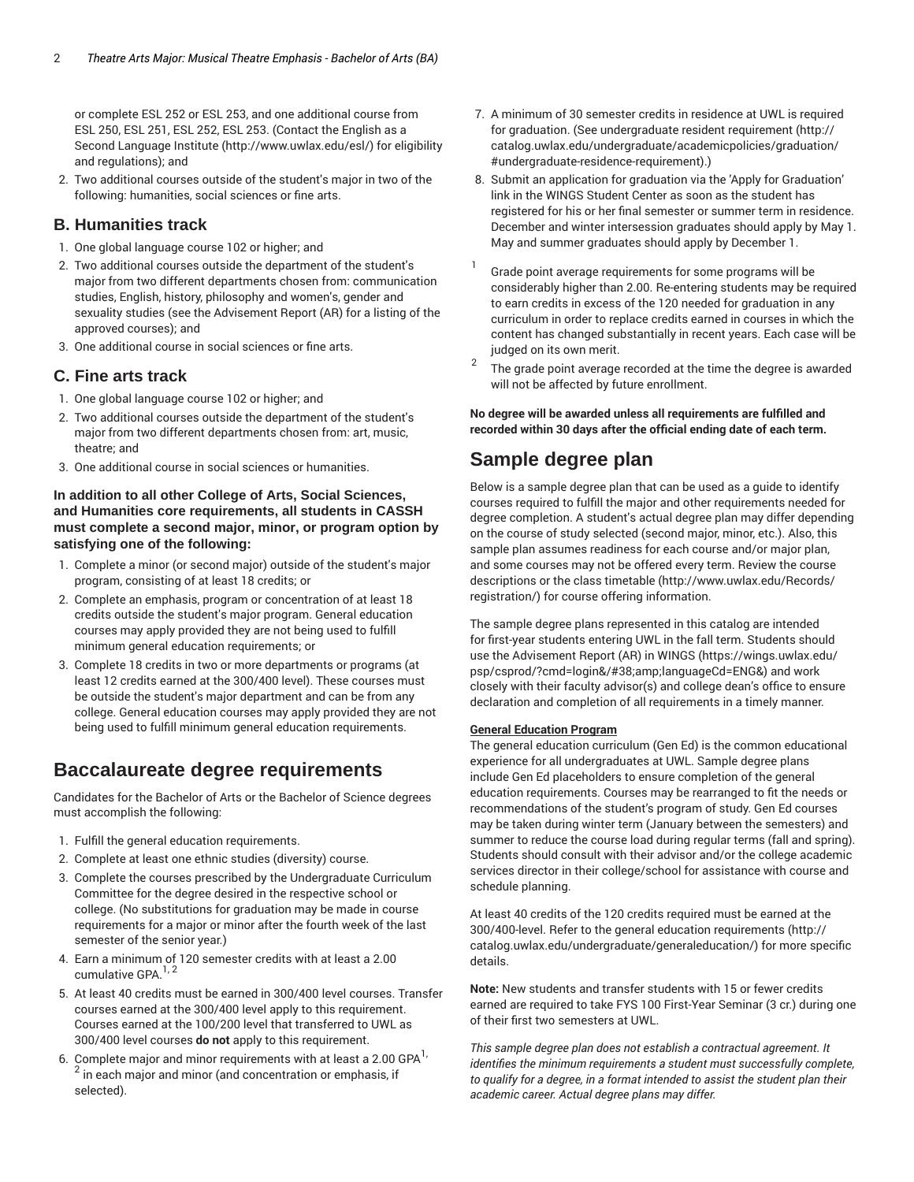or complete ESL 252 or ESL 253, and one additional course from ESL 250, ESL 251, ESL 252, ESL 253. (Contact the [English as a](http://www.uwlax.edu/esl/) [Second Language Institute \(http://www.uwlax.edu/esl/\)](http://www.uwlax.edu/esl/) for eligibility and regulations); and

2. Two additional courses outside of the student's major in two of the following: humanities, social sciences or fine arts.

## **B. Humanities track**

- 1. One global language course 102 or higher; and
- 2. Two additional courses outside the department of the student's major from two different departments chosen from: communication studies, English, history, philosophy and women's, gender and sexuality studies (see the Advisement Report (AR) for a listing of the approved courses); and
- 3. One additional course in social sciences or fine arts.

### **C. Fine arts track**

- 1. One global language course 102 or higher; and
- 2. Two additional courses outside the department of the student's major from two different departments chosen from: art, music, theatre; and
- 3. One additional course in social sciences or humanities.

#### **In addition to all other College of Arts, Social Sciences, and Humanities core requirements, all students in CASSH must complete a second major, minor, or program option by satisfying one of the following:**

- 1. Complete a minor (or second major) outside of the student's major program, consisting of at least 18 credits; or
- 2. Complete an emphasis, program or concentration of at least 18 credits outside the student's major program. General education courses may apply provided they are not being used to fulfill minimum general education requirements; or
- 3. Complete 18 credits in two or more departments or programs (at least 12 credits earned at the 300/400 level). These courses must be outside the student's major department and can be from any college. General education courses may apply provided they are not being used to fulfill minimum general education requirements.

## <span id="page-1-0"></span>**Baccalaureate degree requirements**

Candidates for the Bachelor of Arts or the Bachelor of Science degrees must accomplish the following:

- 1. Fulfill the general education requirements.
- 2. Complete at least one ethnic studies (diversity) course.
- 3. Complete the courses prescribed by the Undergraduate Curriculum Committee for the degree desired in the respective school or college. (No substitutions for graduation may be made in course requirements for a major or minor after the fourth week of the last semester of the senior year.)
- 4. Earn a minimum of 120 semester credits with at least a 2.00 cumulative GPA.<sup>1, 2</sup>
- 5. At least 40 credits must be earned in 300/400 level courses. Transfer courses earned at the 300/400 level apply to this requirement. Courses earned at the 100/200 level that transferred to UWL as 300/400 level courses **do not** apply to this requirement.
- 6. Complete major and minor requirements with at least a 2.00 GPA $^{\mathrm{1,}}$ 2 in each major and minor (and concentration or emphasis, if selected).
- 7. A minimum of 30 semester credits in residence at UWL is required for graduation. (See [undergraduate](http://catalog.uwlax.edu/undergraduate/academicpolicies/graduation/#undergraduate-residence-requirement) resident requirement [\(http://](http://catalog.uwlax.edu/undergraduate/academicpolicies/graduation/#undergraduate-residence-requirement) [catalog.uwlax.edu/undergraduate/academicpolicies/graduation/](http://catalog.uwlax.edu/undergraduate/academicpolicies/graduation/#undergraduate-residence-requirement) [#undergraduate-residence-requirement](http://catalog.uwlax.edu/undergraduate/academicpolicies/graduation/#undergraduate-residence-requirement)).)
- 8. Submit an application for graduation via the 'Apply for Graduation' link in the WINGS Student Center as soon as the student has registered for his or her final semester or summer term in residence. December and winter intersession graduates should apply by May 1. May and summer graduates should apply by December 1.
- 1 Grade point average requirements for some programs will be considerably higher than 2.00. Re-entering students may be required to earn credits in excess of the 120 needed for graduation in any curriculum in order to replace credits earned in courses in which the content has changed substantially in recent years. Each case will be judged on its own merit.
- 2 The grade point average recorded at the time the degree is awarded will not be affected by future enrollment.

**No degree will be awarded unless all requirements are fulfilled and recorded within 30 days after the official ending date of each term.**

# **Sample degree plan**

Below is a sample degree plan that can be used as a guide to identify courses required to fulfill the major and other requirements needed for degree completion. A student's actual degree plan may differ depending on the course of study selected (second major, minor, etc.). Also, this sample plan assumes readiness for each course and/or major plan, and some courses may not be offered every term. Review the course descriptions or the [class timetable](http://www.uwlax.edu/Records/registration/) ([http://www.uwlax.edu/Records/](http://www.uwlax.edu/Records/registration/) [registration/\)](http://www.uwlax.edu/Records/registration/) for course offering information.

The sample degree plans represented in this catalog are intended for first-year students entering UWL in the fall term. Students should use the Advisement Report (AR) in [WINGS](https://wings.uwlax.edu/psp/csprod/?cmd=login&/#38;amp;languageCd=ENG&) ([https://wings.uwlax.edu/](https://wings.uwlax.edu/psp/csprod/?cmd=login&/#38;amp;languageCd=ENG&) [psp/csprod/?cmd=login&/#38;amp;languageCd=ENG&\)](https://wings.uwlax.edu/psp/csprod/?cmd=login&/#38;amp;languageCd=ENG&) and work closely with their faculty advisor(s) and college dean's office to ensure declaration and completion of all requirements in a timely manner.

#### **General Education Program**

The general education curriculum (Gen Ed) is the common educational experience for all undergraduates at UWL. Sample degree plans include Gen Ed placeholders to ensure completion of the general education requirements. Courses may be rearranged to fit the needs or recommendations of the student's program of study. Gen Ed courses may be taken during winter term (January between the semesters) and summer to reduce the course load during regular terms (fall and spring). Students should consult with their advisor and/or the college academic services director in their college/school for assistance with course and schedule planning.

At least 40 credits of the 120 credits required must be earned at the 300/400-level. Refer to the general education [requirements](http://catalog.uwlax.edu/undergraduate/generaleducation/) ([http://](http://catalog.uwlax.edu/undergraduate/generaleducation/) [catalog.uwlax.edu/undergraduate/generaleducation/\)](http://catalog.uwlax.edu/undergraduate/generaleducation/) for more specific details.

**Note:** New students and transfer students with 15 or fewer credits earned are required to take FYS 100 First-Year Seminar (3 cr.) during one of their first two semesters at UWL.

*This sample degree plan does not establish a contractual agreement. It identifies the minimum requirements a student must successfully complete, to qualify for a degree, in a format intended to assist the student plan their academic career. Actual degree plans may differ.*